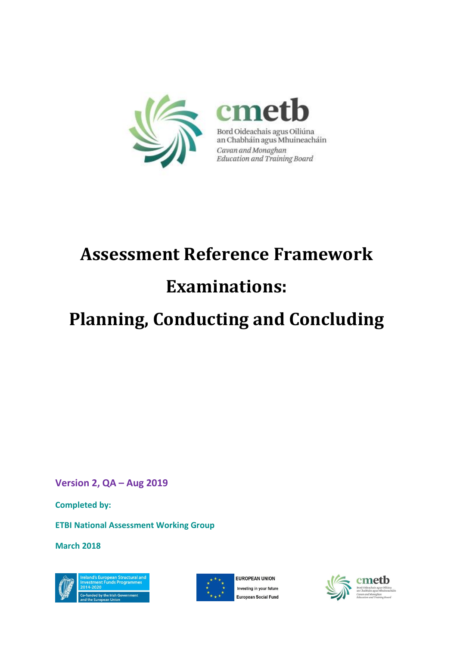

Bord Oideachais agus Oiliúna an Chabháin agus Mhuineacháin Cavan and Monaghan<br>Education and Training Board

# **Assessment Reference Framework Examinations:**

# **Planning, Conducting and Concluding**

**Version 2, QA – Aug 2019**

**Completed by:** 

**ETBI National Assessment Working Group**

**March 2018**





**EUROPEAN UNION** Investing in your future **European Social Fund** 



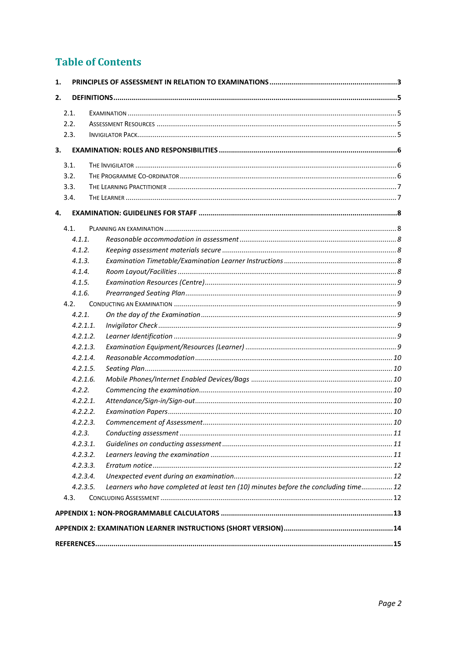# **Table of Contents**

| 1.       |                                                                                     |  |
|----------|-------------------------------------------------------------------------------------|--|
| 2.       |                                                                                     |  |
| 2.1.     |                                                                                     |  |
| 2.2.     |                                                                                     |  |
| 2.3.     |                                                                                     |  |
|          |                                                                                     |  |
| 3.       |                                                                                     |  |
| 3.1.     |                                                                                     |  |
| 3.2.     |                                                                                     |  |
| 3.3.     |                                                                                     |  |
| 3.4.     |                                                                                     |  |
| 4.       |                                                                                     |  |
| 4.1.     |                                                                                     |  |
| 4.1.1.   |                                                                                     |  |
| 4.1.2.   |                                                                                     |  |
| 4.1.3.   |                                                                                     |  |
| 4.1.4.   |                                                                                     |  |
| 4.1.5.   |                                                                                     |  |
| 4.1.6.   |                                                                                     |  |
| 4.2.     |                                                                                     |  |
| 4.2.1.   |                                                                                     |  |
| 4.2.1.1  |                                                                                     |  |
| 4.2.1.2. |                                                                                     |  |
| 4.2.1.3. |                                                                                     |  |
| 4.2.1.4. |                                                                                     |  |
| 4.2.1.5. |                                                                                     |  |
| 4.2.1.6. |                                                                                     |  |
| 4.2.2.   |                                                                                     |  |
| 4.2.2.1. |                                                                                     |  |
| 4.2.2.2. |                                                                                     |  |
| 4.2.2.3. |                                                                                     |  |
| 4.2.3.   |                                                                                     |  |
| 4.2.3.1. |                                                                                     |  |
| 4.2.3.2. |                                                                                     |  |
| 4.2.3.3. |                                                                                     |  |
| 4.2.3.4. |                                                                                     |  |
| 4.2.3.5. | Learners who have completed at least ten (10) minutes before the concluding time 12 |  |
| 4.3.     |                                                                                     |  |
|          |                                                                                     |  |
|          |                                                                                     |  |
|          |                                                                                     |  |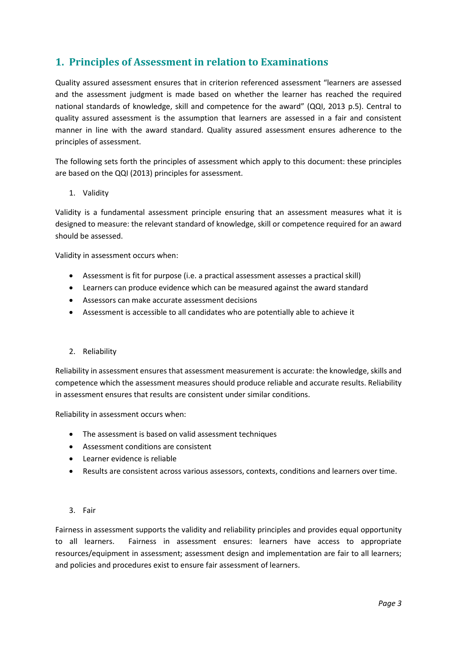# <span id="page-2-0"></span>**1. Principles of Assessment in relation to Examinations**

Quality assured assessment ensures that in criterion referenced assessment "learners are assessed and the assessment judgment is made based on whether the learner has reached the required national standards of knowledge, skill and competence for the award" (QQI, 2013 p.5). Central to quality assured assessment is the assumption that learners are assessed in a fair and consistent manner in line with the award standard. Quality assured assessment ensures adherence to the principles of assessment.

The following sets forth the principles of assessment which apply to this document: these principles are based on the QQI (2013) principles for assessment.

1. Validity

Validity is a fundamental assessment principle ensuring that an assessment measures what it is designed to measure: the relevant standard of knowledge, skill or competence required for an award should be assessed.

Validity in assessment occurs when:

- Assessment is fit for purpose (i.e. a practical assessment assesses a practical skill)
- Learners can produce evidence which can be measured against the award standard
- Assessors can make accurate assessment decisions
- Assessment is accessible to all candidates who are potentially able to achieve it

#### 2. Reliability

Reliability in assessment ensures that assessment measurement is accurate: the knowledge, skills and competence which the assessment measures should produce reliable and accurate results. Reliability in assessment ensures that results are consistent under similar conditions.

Reliability in assessment occurs when:

- The assessment is based on valid assessment techniques
- Assessment conditions are consistent
- Learner evidence is reliable
- Results are consistent across various assessors, contexts, conditions and learners over time.
- 3. Fair

Fairness in assessment supports the validity and reliability principles and provides equal opportunity to all learners. Fairness in assessment ensures: learners have access to appropriate resources/equipment in assessment; assessment design and implementation are fair to all learners; and policies and procedures exist to ensure fair assessment of learners.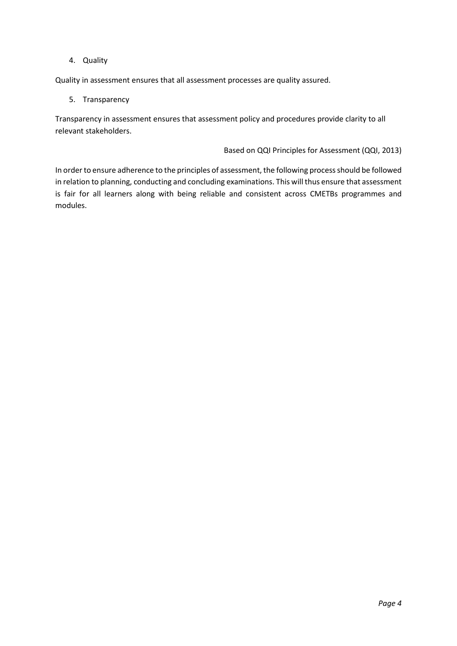#### 4. Quality

Quality in assessment ensures that all assessment processes are quality assured.

#### 5. Transparency

Transparency in assessment ensures that assessment policy and procedures provide clarity to all relevant stakeholders.

#### Based on QQI Principles for Assessment (QQI, 2013)

<span id="page-3-0"></span>In order to ensure adherence to the principles of assessment, the following process should be followed in relation to planning, conducting and concluding examinations. This will thus ensure that assessment is fair for all learners along with being reliable and consistent across CMETBs programmes and modules.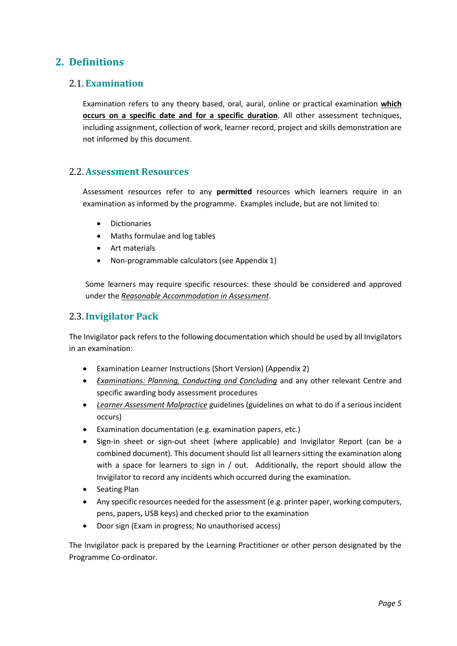# **2. Definitions**

#### <span id="page-4-0"></span>2.1.**Examination**

Examination refers to any theory based, oral, aural, online or practical examination **which occurs on a specific date and for a specific duration**. All other assessment techniques, including assignment, collection of work, learner record, project and skills demonstration are not informed by this document.

#### <span id="page-4-1"></span>2.2.**Assessment Resources**

Assessment resources refer to any **permitted** resources which learners require in an examination as informed by the programme. Examples include, but are not limited to:

- **Dictionaries**
- Maths formulae and log tables
- Art materials
- Non-programmable calculators (see Appendix 1)

Some learners may require specific resources: these should be considered and approved under the *Reasonable Accommodation in Assessment*.

#### <span id="page-4-2"></span>2.3.**Invigilator Pack**

The Invigilator pack refers to the following documentation which should be used by all Invigilators in an examination:

- Examination Learner Instructions (Short Version) (Appendix 2)
- *Examinations: Planning, Conducting and Concluding* and any other relevant Centre and specific awarding body assessment procedures
- *Learner Assessment Malpractice* guidelines (guidelines on what to do if a serious incident occurs)
- Examination documentation (e.g. examination papers, etc.)
- Sign-in sheet or sign-out sheet (where applicable) and Invigilator Report (can be a combined document). This document should list all learners sitting the examination along with a space for learners to sign in / out. Additionally, the report should allow the Invigilator to record any incidents which occurred during the examination.
- Seating Plan
- Any specific resources needed for the assessment (e.g. printer paper, working computers, pens, papers, USB keys) and checked prior to the examination
- Door sign (Exam in progress; No unauthorised access)

The Invigilator pack is prepared by the Learning Practitioner or other person designated by the Programme Co-ordinator.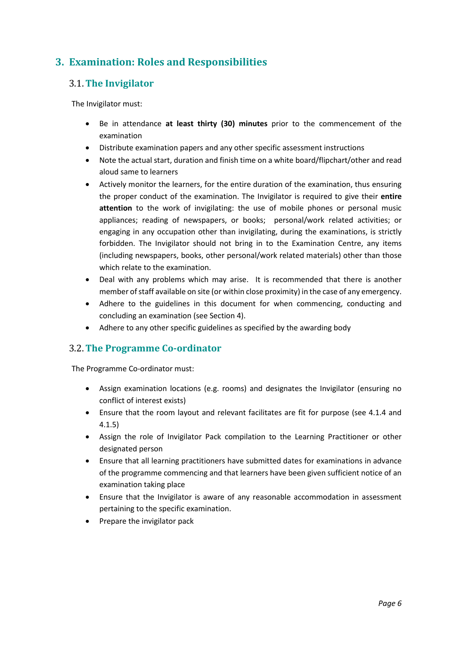# <span id="page-5-0"></span>**3. Examination: Roles and Responsibilities**

#### <span id="page-5-1"></span>3.1.**The Invigilator**

The Invigilator must:

- Be in attendance **at least thirty (30) minutes** prior to the commencement of the examination
- Distribute examination papers and any other specific assessment instructions
- Note the actual start, duration and finish time on a white board/flipchart/other and read aloud same to learners
- Actively monitor the learners, for the entire duration of the examination, thus ensuring the proper conduct of the examination. The Invigilator is required to give their **entire attention** to the work of invigilating: the use of mobile phones or personal music appliances; reading of newspapers, or books; personal/work related activities; or engaging in any occupation other than invigilating, during the examinations, is strictly forbidden. The Invigilator should not bring in to the Examination Centre, any items (including newspapers, books, other personal/work related materials) other than those which relate to the examination.
- Deal with any problems which may arise. It is recommended that there is another member of staff available on site (or within close proximity) in the case of any emergency.
- Adhere to the guidelines in this document for when commencing, conducting and concluding an examination (see Section 4).
- Adhere to any other specific guidelines as specified by the awarding body

#### <span id="page-5-2"></span>3.2.**The Programme Co-ordinator**

The Programme Co-ordinator must:

- Assign examination locations (e.g. rooms) and designates the Invigilator (ensuring no conflict of interest exists)
- Ensure that the room layout and relevant facilitates are fit for purpose (see 4.1.4 and 4.1.5)
- Assign the role of Invigilator Pack compilation to the Learning Practitioner or other designated person
- Ensure that all learning practitioners have submitted dates for examinations in advance of the programme commencing and that learners have been given sufficient notice of an examination taking place
- Ensure that the Invigilator is aware of any reasonable accommodation in assessment pertaining to the specific examination.
- <span id="page-5-3"></span>• Prepare the invigilator pack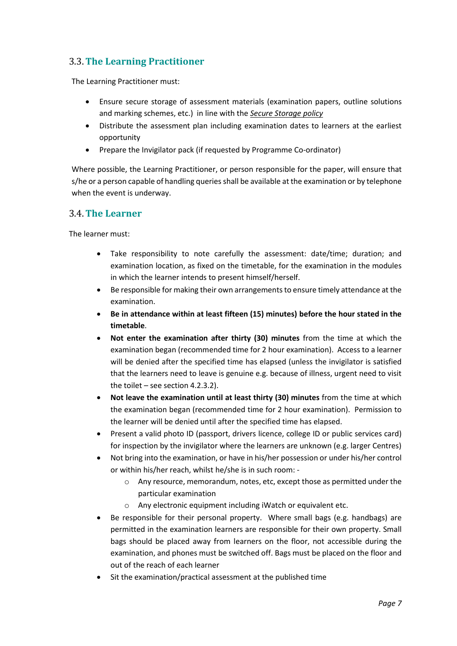### 3.3.**The Learning Practitioner**

The Learning Practitioner must:

- Ensure secure storage of assessment materials (examination papers, outline solutions and marking schemes, etc.) in line with the *Secure Storage policy*
- Distribute the assessment plan including examination dates to learners at the earliest opportunity
- Prepare the Invigilator pack (if requested by Programme Co-ordinator)

Where possible, the Learning Practitioner, or person responsible for the paper, will ensure that s/he or a person capable of handling queries shall be available at the examination or by telephone when the event is underway.

#### <span id="page-6-0"></span>3.4.**The Learner**

The learner must:

- Take responsibility to note carefully the assessment: date/time; duration; and examination location, as fixed on the timetable, for the examination in the modules in which the learner intends to present himself/herself.
- Be responsible for making their own arrangements to ensure timely attendance at the examination.
- **Be in attendance within at least fifteen (15) minutes) before the hour stated in the timetable**.
- **Not enter the examination after thirty (30) minutes** from the time at which the examination began (recommended time for 2 hour examination). Access to a learner will be denied after the specified time has elapsed (unless the invigilator is satisfied that the learners need to leave is genuine e.g. because of illness, urgent need to visit the toilet – see section 4.2.3.2).
- **Not leave the examination until at least thirty (30) minutes** from the time at which the examination began (recommended time for 2 hour examination). Permission to the learner will be denied until after the specified time has elapsed.
- Present a valid photo ID (passport, drivers licence, college ID or public services card) for inspection by the invigilator where the learners are unknown (e.g. larger Centres)
- Not bring into the examination, or have in his/her possession or under his/her control or within his/her reach, whilst he/she is in such room:
	- o Any resource, memorandum, notes, etc, except those as permitted under the particular examination
	- o Any electronic equipment including iWatch or equivalent etc.
- Be responsible for their personal property. Where small bags (e.g. handbags) are permitted in the examination learners are responsible for their own property. Small bags should be placed away from learners on the floor, not accessible during the examination, and phones must be switched off. Bags must be placed on the floor and out of the reach of each learner
- Sit the examination/practical assessment at the published time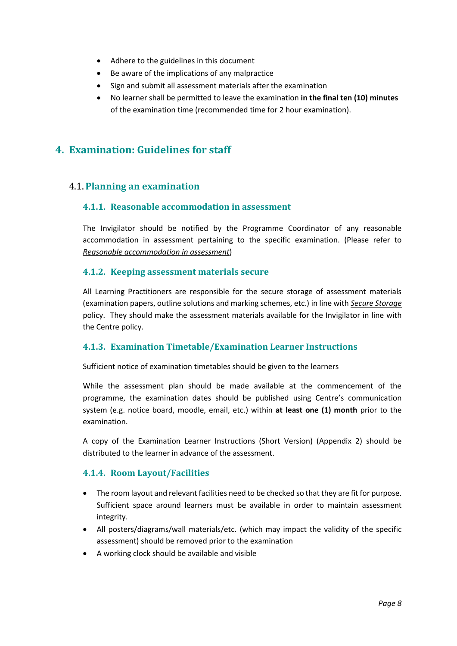- Adhere to the guidelines in this document
- Be aware of the implications of any malpractice
- Sign and submit all assessment materials after the examination
- No learner shall be permitted to leave the examination **in the final ten (10) minutes**  of the examination time (recommended time for 2 hour examination).

## <span id="page-7-0"></span>**4. Examination: Guidelines for staff**

#### <span id="page-7-2"></span><span id="page-7-1"></span>4.1.**Planning an examination**

#### **4.1.1. Reasonable accommodation in assessment**

The Invigilator should be notified by the Programme Coordinator of any reasonable accommodation in assessment pertaining to the specific examination. (Please refer to *Reasonable accommodation in assessment*)

#### <span id="page-7-3"></span>**4.1.2. Keeping assessment materials secure**

All Learning Practitioners are responsible for the secure storage of assessment materials (examination papers, outline solutions and marking schemes, etc.) in line with *Secure Storage* policy. They should make the assessment materials available for the Invigilator in line with the Centre policy.

#### <span id="page-7-4"></span>**4.1.3. Examination Timetable/Examination Learner Instructions**

Sufficient notice of examination timetables should be given to the learners

While the assessment plan should be made available at the commencement of the programme, the examination dates should be published using Centre's communication system (e.g. notice board, moodle, email, etc.) within **at least one (1) month** prior to the examination.

A copy of the Examination Learner Instructions (Short Version) (Appendix 2) should be distributed to the learner in advance of the assessment.

#### <span id="page-7-5"></span>**4.1.4. Room Layout/Facilities**

- The room layout and relevant facilities need to be checked so that they are fit for purpose. Sufficient space around learners must be available in order to maintain assessment integrity.
- All posters/diagrams/wall materials/etc. (which may impact the validity of the specific assessment) should be removed prior to the examination
- A working clock should be available and visible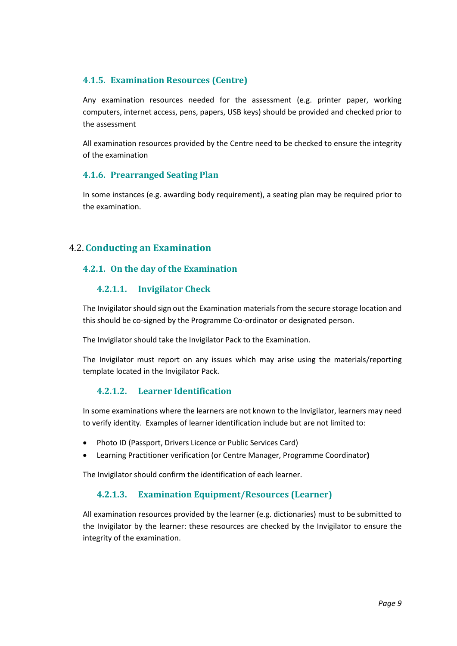#### <span id="page-8-0"></span>**4.1.5. Examination Resources (Centre)**

Any examination resources needed for the assessment (e.g. printer paper, working computers, internet access, pens, papers, USB keys) should be provided and checked prior to the assessment

All examination resources provided by the Centre need to be checked to ensure the integrity of the examination

#### <span id="page-8-1"></span>**4.1.6. Prearranged Seating Plan**

In some instances (e.g. awarding body requirement), a seating plan may be required prior to the examination.

#### <span id="page-8-3"></span><span id="page-8-2"></span>4.2.**Conducting an Examination**

#### <span id="page-8-4"></span>**4.2.1. On the day of the Examination**

#### **4.2.1.1. Invigilator Check**

The Invigilator should sign out the Examination materials from the secure storage location and this should be co-signed by the Programme Co-ordinator or designated person.

The Invigilator should take the Invigilator Pack to the Examination.

The Invigilator must report on any issues which may arise using the materials/reporting template located in the Invigilator Pack.

#### **4.2.1.2. Learner Identification**

<span id="page-8-5"></span>In some examinations where the learners are not known to the Invigilator, learners may need to verify identity. Examples of learner identification include but are not limited to:

- Photo ID (Passport, Drivers Licence or Public Services Card)
- Learning Practitioner verification (or Centre Manager, Programme Coordinator**)**

<span id="page-8-6"></span>The Invigilator should confirm the identification of each learner.

#### **4.2.1.3. Examination Equipment/Resources (Learner)**

<span id="page-8-7"></span>All examination resources provided by the learner (e.g. dictionaries) must to be submitted to the Invigilator by the learner: these resources are checked by the Invigilator to ensure the integrity of the examination.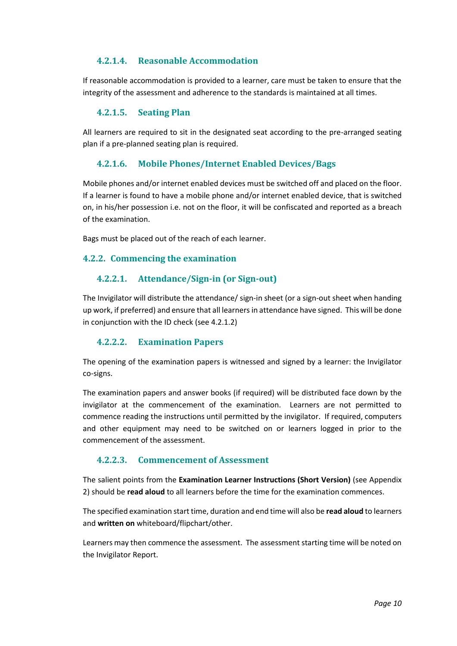#### **4.2.1.4. Reasonable Accommodation**

If reasonable accommodation is provided to a learner, care must be taken to ensure that the integrity of the assessment and adherence to the standards is maintained at all times.

#### **4.2.1.5. Seating Plan**

<span id="page-9-0"></span>All learners are required to sit in the designated seat according to the pre-arranged seating plan if a pre-planned seating plan is required.

#### **4.2.1.6. Mobile Phones/Internet Enabled Devices/Bags**

<span id="page-9-1"></span>Mobile phones and/or internet enabled devices must be switched off and placed on the floor. If a learner is found to have a mobile phone and/or internet enabled device, that is switched on, in his/her possession i.e. not on the floor, it will be confiscated and reported as a breach of the examination.

Bags must be placed out of the reach of each learner.

#### <span id="page-9-3"></span><span id="page-9-2"></span>**4.2.2. Commencing the examination**

#### **4.2.2.1. Attendance/Sign-in (or Sign-out)**

The Invigilator will distribute the attendance/ sign-in sheet (or a sign-out sheet when handing up work, if preferred) and ensure that all learners in attendance have signed. This will be done in conjunction with the ID check (see 4.2.1.2)

#### **4.2.2.2. Examination Papers**

<span id="page-9-4"></span>The opening of the examination papers is witnessed and signed by a learner: the Invigilator co-signs.

The examination papers and answer books (if required) will be distributed face down by the invigilator at the commencement of the examination. Learners are not permitted to commence reading the instructions until permitted by the invigilator. If required, computers and other equipment may need to be switched on or learners logged in prior to the commencement of the assessment.

#### **4.2.2.3. Commencement of Assessment**

<span id="page-9-5"></span>The salient points from the **Examination Learner Instructions (Short Version)** (see Appendix 2) should be **read aloud** to all learners before the time for the examination commences.

The specified examination start time, duration and end time will also be **read aloud** to learners and **written on** whiteboard/flipchart/other.

Learners may then commence the assessment. The assessment starting time will be noted on the Invigilator Report.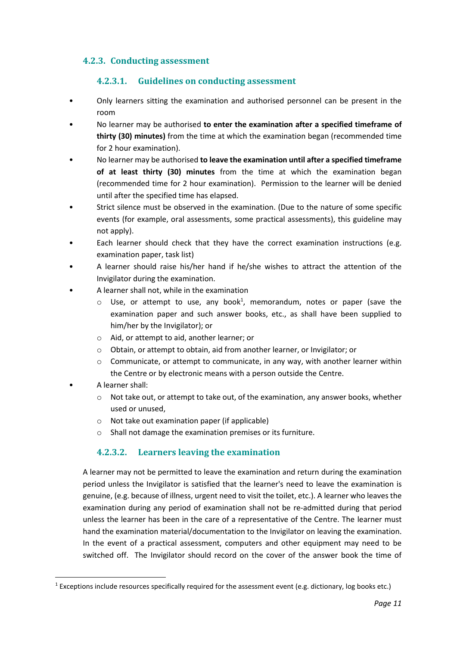#### <span id="page-10-0"></span>**4.2.3. Conducting assessment**

#### **4.2.3.1. Guidelines on conducting assessment**

- <span id="page-10-1"></span>• Only learners sitting the examination and authorised personnel can be present in the room
- No learner may be authorised **to enter the examination after a specified timeframe of thirty (30) minutes)** from the time at which the examination began (recommended time for 2 hour examination).
- No learner may be authorised **to leave the examination until after a specified timeframe of at least thirty (30) minutes** from the time at which the examination began (recommended time for 2 hour examination). Permission to the learner will be denied until after the specified time has elapsed.
- Strict silence must be observed in the examination. (Due to the nature of some specific events (for example, oral assessments, some practical assessments), this guideline may not apply).
- Each learner should check that they have the correct examination instructions (e.g. examination paper, task list)
- A learner should raise his/her hand if he/she wishes to attract the attention of the Invigilator during the examination.
- A learner shall not, while in the examination
	- $\circ$  Use, or attempt to use, any book<sup>1</sup>, memorandum, notes or paper (save the examination paper and such answer books, etc., as shall have been supplied to him/her by the Invigilator); or
	- o Aid, or attempt to aid, another learner; or
	- o Obtain, or attempt to obtain, aid from another learner, or Invigilator; or
	- o Communicate, or attempt to communicate, in any way, with another learner within the Centre or by electronic means with a person outside the Centre.
	- A learner shall:
		- o Not take out, or attempt to take out, of the examination, any answer books, whether used or unused,
		- o Not take out examination paper (if applicable)
		- o Shall not damage the examination premises or its furniture.

#### **4.2.3.2. Learners leaving the examination**

<span id="page-10-2"></span>A learner may not be permitted to leave the examination and return during the examination period unless the Invigilator is satisfied that the learner's need to leave the examination is genuine, (e.g. because of illness, urgent need to visit the toilet, etc.). A learner who leaves the examination during any period of examination shall not be re-admitted during that period unless the learner has been in the care of a representative of the Centre. The learner must hand the examination material/documentation to the Invigilator on leaving the examination. In the event of a practical assessment, computers and other equipment may need to be switched off. The Invigilator should record on the cover of the answer book the time of

<sup>&</sup>lt;sup>1</sup> Exceptions include resources specifically required for the assessment event (e.g. dictionary, log books etc.)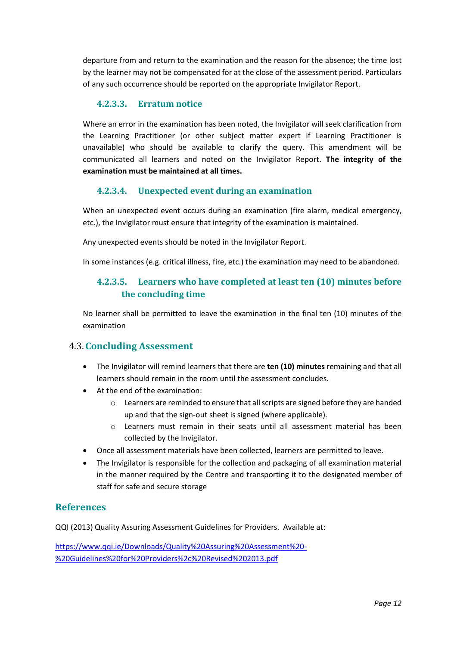departure from and return to the examination and the reason for the absence; the time lost by the learner may not be compensated for at the close of the assessment period. Particulars of any such occurrence should be reported on the appropriate Invigilator Report.

#### **4.2.3.3. Erratum notice**

<span id="page-11-0"></span>Where an error in the examination has been noted, the Invigilator will seek clarification from the Learning Practitioner (or other subject matter expert if Learning Practitioner is unavailable) who should be available to clarify the query. This amendment will be communicated all learners and noted on the Invigilator Report. **The integrity of the examination must be maintained at all times.** 

#### **4.2.3.4. Unexpected event during an examination**

<span id="page-11-1"></span>When an unexpected event occurs during an examination (fire alarm, medical emergency, etc.), the Invigilator must ensure that integrity of the examination is maintained.

Any unexpected events should be noted in the Invigilator Report.

<span id="page-11-2"></span>In some instances (e.g. critical illness, fire, etc.) the examination may need to be abandoned.

#### **4.2.3.5. Learners who have completed at least ten (10) minutes before the concluding time**

No learner shall be permitted to leave the examination in the final ten (10) minutes of the examination

#### <span id="page-11-3"></span>4.3.**Concluding Assessment**

- The Invigilator will remind learners that there are **ten (10) minutes** remaining and that all learners should remain in the room until the assessment concludes.
- At the end of the examination:
	- $\circ$  Learners are reminded to ensure that all scripts are signed before they are handed up and that the sign-out sheet is signed (where applicable).
	- o Learners must remain in their seats until all assessment material has been collected by the Invigilator.
- Once all assessment materials have been collected, learners are permitted to leave.
- The Invigilator is responsible for the collection and packaging of all examination material in the manner required by the Centre and transporting it to the designated member of staff for safe and secure storage

#### **References**

QQI (2013) Quality Assuring Assessment Guidelines for Providers. Available at:

[https://www.qqi.ie/Downloads/Quality%20Assuring%20Assessment%20-](https://www.qqi.ie/Downloads/Quality%20Assuring%20Assessment%20-%20Guidelines%20for%20Providers%2c%20Revised%202013.pdf) [%20Guidelines%20for%20Providers%2c%20Revised%202013.pdf](https://www.qqi.ie/Downloads/Quality%20Assuring%20Assessment%20-%20Guidelines%20for%20Providers%2c%20Revised%202013.pdf)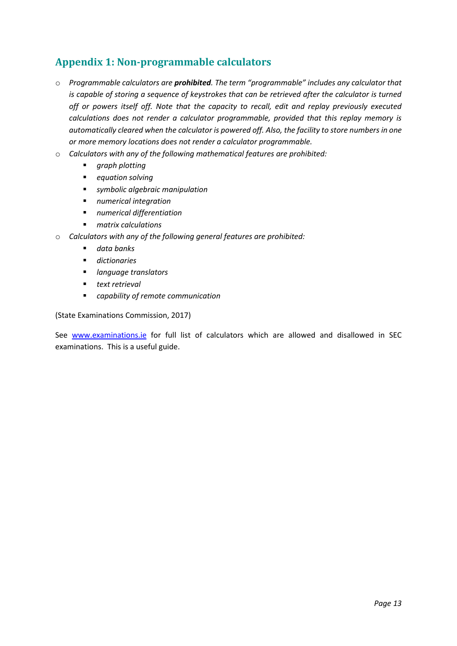# <span id="page-12-0"></span>**Appendix 1: Non-programmable calculators**

- o *Programmable calculators are prohibited. The term "programmable" includes any calculator that is capable of storing a sequence of keystrokes that can be retrieved after the calculator is turned off or powers itself off. Note that the capacity to recall, edit and replay previously executed calculations does not render a calculator programmable, provided that this replay memory is automatically cleared when the calculator is powered off. Also, the facility to store numbers in one or more memory locations does not render a calculator programmable.*
- o *Calculators with any of the following mathematical features are prohibited:*
	- *graph plotting*
	- *equation solving*
	- *symbolic algebraic manipulation*
	- *numerical integration*
	- *numerical differentiation*
	- *matrix calculations*
- o *Calculators with any of the following general features are prohibited:*
	- *data banks*
	- *dictionaries*
	- *language translators*
	- *text retrieval*
	- *capability of remote communication*

(State Examinations Commission, 2017)

See [www.examinations.ie](http://www.examinations.ie/) for full list of calculators which are allowed and disallowed in SEC examinations. This is a useful guide.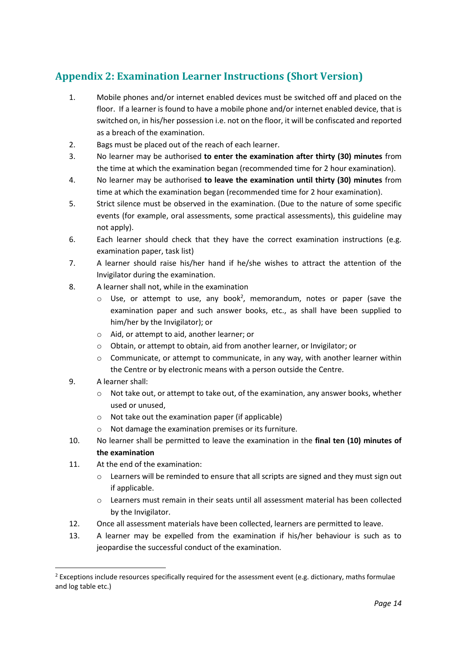# <span id="page-13-0"></span>**Appendix 2: Examination Learner Instructions (Short Version)**

- 1. Mobile phones and/or internet enabled devices must be switched off and placed on the floor. If a learner is found to have a mobile phone and/or internet enabled device, that is switched on, in his/her possession i.e. not on the floor, it will be confiscated and reported as a breach of the examination.
- 2. Bags must be placed out of the reach of each learner.
- 3. No learner may be authorised **to enter the examination after thirty (30) minutes** from the time at which the examination began (recommended time for 2 hour examination).
- 4. No learner may be authorised **to leave the examination until thirty (30) minutes** from time at which the examination began (recommended time for 2 hour examination).
- 5. Strict silence must be observed in the examination. (Due to the nature of some specific events (for example, oral assessments, some practical assessments), this guideline may not apply).
- 6. Each learner should check that they have the correct examination instructions (e.g. examination paper, task list)
- 7. A learner should raise his/her hand if he/she wishes to attract the attention of the Invigilator during the examination.
- 8. A learner shall not, while in the examination
	- $\circ$  Use, or attempt to use, any book<sup>2</sup>, memorandum, notes or paper (save the examination paper and such answer books, etc., as shall have been supplied to him/her by the Invigilator); or
	- o Aid, or attempt to aid, another learner; or
	- o Obtain, or attempt to obtain, aid from another learner, or Invigilator; or
	- $\circ$  Communicate, or attempt to communicate, in any way, with another learner within the Centre or by electronic means with a person outside the Centre.
- 9. A learner shall:
	- $\circ$  Not take out, or attempt to take out, of the examination, any answer books, whether used or unused,
	- o Not take out the examination paper (if applicable)
	- Not damage the examination premises or its furniture.
- 10. No learner shall be permitted to leave the examination in the **final ten (10) minutes of the examination**
- 11. At the end of the examination:
	- $\circ$  Learners will be reminded to ensure that all scripts are signed and they must sign out if applicable.
	- o Learners must remain in their seats until all assessment material has been collected by the Invigilator.
- 12. Once all assessment materials have been collected, learners are permitted to leave.
- 13. A learner may be expelled from the examination if his/her behaviour is such as to jeopardise the successful conduct of the examination.

 $2$  Exceptions include resources specifically required for the assessment event (e.g. dictionary, maths formulae and log table etc.)